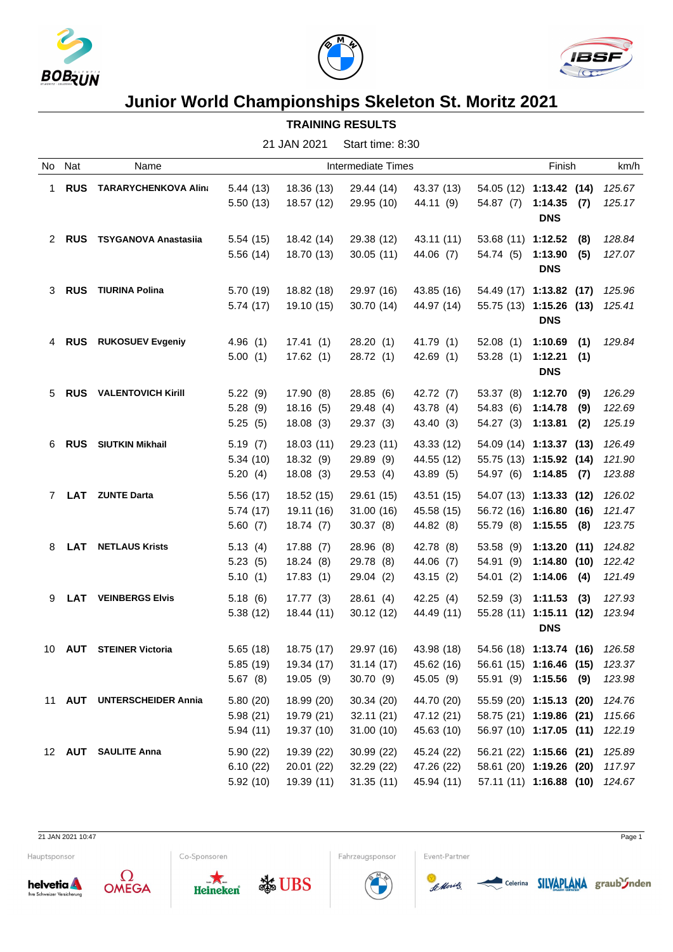





## **Junior World Championships Skeleton St. Moritz 2021**

## **TRAINING RESULTS**

|   |            |                                         |          | 21 JAN 2021          | Start time: 8:30 |            |                                |                       |     |        |
|---|------------|-----------------------------------------|----------|----------------------|------------------|------------|--------------------------------|-----------------------|-----|--------|
|   | No Nat     | Name<br><b>RUS TARARYCHENKOVA Alina</b> |          | Finish               |                  |            | km/h                           |                       |     |        |
| 1 |            |                                         | 5.44(13) | 18.36 (13)           | 29.44 (14)       | 43.37 (13) | 54.05 (12) 1:13.42 (14)        |                       |     | 125.67 |
|   |            |                                         | 5.50(13) | 18.57 (12)           | 29.95 (10)       | 44.11 (9)  | 54.87 (7)                      | 1:14.35<br><b>DNS</b> | (7) | 125.17 |
|   | 2 RUS      | <b>TSYGANOVA Anastasiia</b>             | 5.54(15) | 18.42 (14)           | 29.38 (12)       | 43.11 (11) | 53.68 (11) 1:12.52             |                       | (8) | 128.84 |
|   |            |                                         | 5.56(14) | 18.70 (13)           | 30.05(11)        | 44.06 (7)  | 54.74 (5)                      | 1:13.90<br><b>DNS</b> | (5) | 127.07 |
|   | 3 RUS      | <b>TIURINA Polina</b>                   | 5.70(19) | 18.82 (18)           | 29.97 (16)       | 43.85 (16) | 54.49 (17) 1:13.82 (17)        |                       |     | 125.96 |
|   |            |                                         | 5.74(17) | 19.10 (15)           | 30.70 (14)       | 44.97 (14) | 55.75 (13) 1:15.26 (13) 125.41 | <b>DNS</b>            |     |        |
| 4 | <b>RUS</b> | <b>RUKOSUEV Evgeniy</b>                 | 4.96(1)  | 17.41 (1)            | 28.20 (1)        | 41.79 (1)  | 52.08(1)                       | 1:10.69               | (1) | 129.84 |
|   |            |                                         | 5.00(1)  | 17.62(1)             | 28.72 (1)        | 42.69(1)   | 53.28 (1)                      | 1:12.21(1)            |     |        |
|   |            |                                         |          |                      |                  |            |                                | <b>DNS</b>            |     |        |
|   | 5 RUS      | <b>VALENTOVICH Kirill</b>               | 5.22(9)  | 17.90 (8)            | 28.85 (6)        | 42.72 (7)  | 53.37 (8)                      | 1:12.70               | (9) | 126.29 |
|   |            |                                         | 5.28(9)  | 18.16(5)             | 29.48 (4)        | 43.78 (4)  | 54.83 (6)                      | 1:14.78               | (9) | 122.69 |
|   |            |                                         | 5.25(5)  | 18.08(3)             | 29.37(3)         | 43.40 (3)  | 54.27 (3)                      | 1:13.81               | (2) | 125.19 |
| 6 | <b>RUS</b> | <b>SIUTKIN Mikhail</b>                  | 5.19(7)  | 18.03(11)            | 29.23 (11)       | 43.33 (12) | 54.09 (14) 1:13.37 (13)        |                       |     | 126.49 |
|   |            |                                         | 5.34(10) | 18.32 (9)            | 29.89 (9)        | 44.55 (12) | 55.75 (13) 1:15.92 (14)        |                       |     | 121.90 |
|   |            |                                         | 5.20(4)  | 18.08(3)             | 29.53(4)         | 43.89 (5)  | 54.97 (6) 1:14.85 (7)          |                       |     | 123.88 |
|   |            | 7 LAT ZUNTE Darta                       | 5.56(17) | 18.52 (15)           | 29.61 (15)       | 43.51 (15) | 54.07 (13) 1:13.33 (12)        |                       |     | 126.02 |
|   |            |                                         | 5.74(17) | 19.11 (16)           | 31.00(16)        | 45.58 (15) | 56.72 (16) 1:16.80 (16)        |                       |     | 121.47 |
|   |            |                                         | 5.60(7)  | 18.74(7)             | 30.37(8)         | 44.82 (8)  | 55.79 (8)                      | $1:15.55$ (8)         |     | 123.75 |
| 8 | LAT        | <b>NETLAUS Krists</b>                   | 5.13(4)  | 17.88(7)             | 28.96 (8)        | 42.78 (8)  | 53.58 (9)                      | 1:13.20(11)           |     | 124.82 |
|   |            |                                         | 5.23(5)  | 18.24(8)             | 29.78 (8)        | 44.06 (7)  | 54.91 (9)                      | 1:14.80(10)           |     | 122.42 |
|   |            |                                         | 5.10(1)  | 17.83(1)             | 29.04 (2)        | 43.15 (2)  | 54.01(2)                       | 1:14.06               | (4) | 121.49 |
| 9 | LAT        | <b>VEINBERGS Elvis</b>                  | 5.18(6)  | 17.77 (3)            | 28.61 (4)        | 42.25(4)   | 52.59 (3)                      | 1:11.53               | (3) | 127.93 |
|   |            |                                         | 5.38(12) | 18.44 (11)           | 30.12 (12)       | 44.49 (11) | 55.28 (11) 1:15.11 (12)        |                       |     | 123.94 |
|   |            |                                         |          |                      |                  |            |                                | <b>DNS</b>            |     |        |
|   |            | 10 AUT STEINER Victoria                 |          | 5.65 (18) 18.75 (17) | 29.97 (16)       | 43.98 (18) | 54.56 (18) 1:13.74 (16) 126.58 |                       |     |        |
|   |            |                                         | 5.85(19) | 19.34 (17)           | 31.14(17)        | 45.62 (16) | 56.61 (15) 1:16.46 (15)        |                       |     | 123.37 |
|   |            |                                         | 5.67(8)  | 19.05 (9)            | 30.70 (9)        | 45.05 (9)  | 55.91 (9) 1:15.56 (9)          |                       |     | 123.98 |
|   |            | 11 AUT UNTERSCHEIDER Annia              | 5.80(20) | 18.99 (20)           | 30.34 (20)       | 44.70 (20) | 55.59 (20) 1:15.13 (20)        |                       |     | 124.76 |
|   |            |                                         | 5.98(21) | 19.79 (21)           | 32.11(21)        | 47.12 (21) | 58.75 (21) 1:19.86 (21)        |                       |     | 115.66 |
|   |            |                                         | 5.94(11) | 19.37 (10)           | 31.00(10)        | 45.63 (10) | 56.97 (10) 1:17.05 (11)        |                       |     | 122.19 |
|   |            | 12 AUT SAULITE Anna                     | 5.90(22) | 19.39 (22)           | 30.99 (22)       | 45.24 (22) | 56.21 (22) 1:15.66 (21)        |                       |     | 125.89 |
|   |            |                                         | 6.10(22) | 20.01 (22)           | 32.29 (22)       | 47.26 (22) | 58.61 (20) 1:19.26 (20) 117.97 |                       |     |        |
|   |            |                                         | 5.92(10) | 19.39 (11)           | 31.35(11)        | 45.94 (11) | 57.11 (11) 1:16.88 (10) 124.67 |                       |     |        |

21 JAN 2021 10:47 Page 1

Hauptsponsor







**SE UBS** 



Fahrzeugsponsor



Event-Partner

Celerina **SILVAPLANA** graub *J*nden